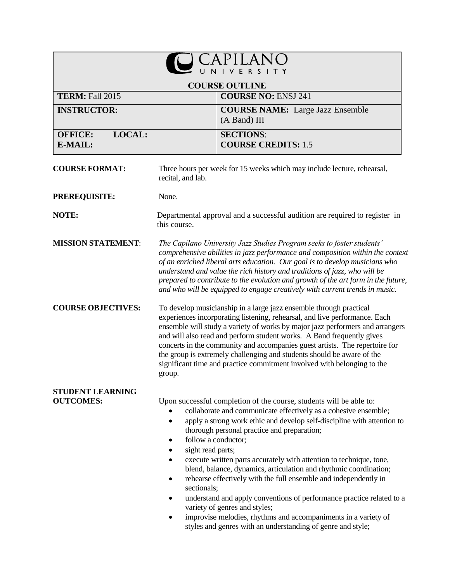|                                             |                                                                                                                                                                                                                                                                                                                                                                                                                                                                                                                                                          | R <sub>S</sub>                                                                                                                                                                                                                                                                                                                                                                                                                                                                                                                                                                                                                                                                                                              |
|---------------------------------------------|----------------------------------------------------------------------------------------------------------------------------------------------------------------------------------------------------------------------------------------------------------------------------------------------------------------------------------------------------------------------------------------------------------------------------------------------------------------------------------------------------------------------------------------------------------|-----------------------------------------------------------------------------------------------------------------------------------------------------------------------------------------------------------------------------------------------------------------------------------------------------------------------------------------------------------------------------------------------------------------------------------------------------------------------------------------------------------------------------------------------------------------------------------------------------------------------------------------------------------------------------------------------------------------------------|
|                                             |                                                                                                                                                                                                                                                                                                                                                                                                                                                                                                                                                          | <b>COURSE OUTLINE</b>                                                                                                                                                                                                                                                                                                                                                                                                                                                                                                                                                                                                                                                                                                       |
| <b>TERM: Fall 2015</b>                      |                                                                                                                                                                                                                                                                                                                                                                                                                                                                                                                                                          | <b>COURSE NO: ENSJ 241</b>                                                                                                                                                                                                                                                                                                                                                                                                                                                                                                                                                                                                                                                                                                  |
| <b>INSTRUCTOR:</b>                          |                                                                                                                                                                                                                                                                                                                                                                                                                                                                                                                                                          | <b>COURSE NAME:</b> Large Jazz Ensemble<br>(A Band) III                                                                                                                                                                                                                                                                                                                                                                                                                                                                                                                                                                                                                                                                     |
| LOCAL:<br><b>OFFICE:</b><br>E-MAIL:         |                                                                                                                                                                                                                                                                                                                                                                                                                                                                                                                                                          | <b>SECTIONS:</b><br><b>COURSE CREDITS: 1.5</b>                                                                                                                                                                                                                                                                                                                                                                                                                                                                                                                                                                                                                                                                              |
| <b>COURSE FORMAT:</b>                       | recital, and lab.                                                                                                                                                                                                                                                                                                                                                                                                                                                                                                                                        | Three hours per week for 15 weeks which may include lecture, rehearsal,                                                                                                                                                                                                                                                                                                                                                                                                                                                                                                                                                                                                                                                     |
| <b>PREREQUISITE:</b>                        | None.                                                                                                                                                                                                                                                                                                                                                                                                                                                                                                                                                    |                                                                                                                                                                                                                                                                                                                                                                                                                                                                                                                                                                                                                                                                                                                             |
| NOTE:                                       | this course.                                                                                                                                                                                                                                                                                                                                                                                                                                                                                                                                             | Departmental approval and a successful audition are required to register in                                                                                                                                                                                                                                                                                                                                                                                                                                                                                                                                                                                                                                                 |
| <b>MISSION STATEMENT:</b>                   |                                                                                                                                                                                                                                                                                                                                                                                                                                                                                                                                                          | The Capilano University Jazz Studies Program seeks to foster students'<br>comprehensive abilities in jazz performance and composition within the context<br>of an enriched liberal arts education. Our goal is to develop musicians who<br>understand and value the rich history and traditions of jazz, who will be<br>prepared to contribute to the evolution and growth of the art form in the future,<br>and who will be equipped to engage creatively with current trends in music.                                                                                                                                                                                                                                    |
| <b>COURSE OBJECTIVES:</b>                   | To develop musicianship in a large jazz ensemble through practical<br>experiences incorporating listening, rehearsal, and live performance. Each<br>ensemble will study a variety of works by major jazz performers and arrangers<br>and will also read and perform student works. A Band frequently gives<br>concerts in the community and accompanies guest artists. The repertoire for<br>the group is extremely challenging and students should be aware of the<br>significant time and practice commitment involved with belonging to the<br>group. |                                                                                                                                                                                                                                                                                                                                                                                                                                                                                                                                                                                                                                                                                                                             |
| <b>STUDENT LEARNING</b><br><b>OUTCOMES:</b> | $\bullet$<br>follow a conductor;<br>٠<br>sight read parts;<br>٠<br>sectionals;<br>٠                                                                                                                                                                                                                                                                                                                                                                                                                                                                      | Upon successful completion of the course, students will be able to:<br>collaborate and communicate effectively as a cohesive ensemble;<br>apply a strong work ethic and develop self-discipline with attention to<br>thorough personal practice and preparation;<br>execute written parts accurately with attention to technique, tone,<br>blend, balance, dynamics, articulation and rhythmic coordination;<br>rehearse effectively with the full ensemble and independently in<br>understand and apply conventions of performance practice related to a<br>variety of genres and styles;<br>improvise melodies, rhythms and accompaniments in a variety of<br>styles and genres with an understanding of genre and style; |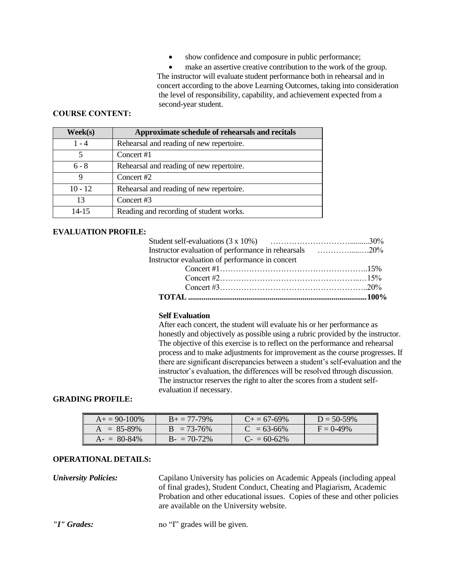show confidence and composure in public performance;

 make an assertive creative contribution to the work of the group. The instructor will evaluate student performance both in rehearsal and in concert according to the above Learning Outcomes, taking into consideration the level of responsibility, capability, and achievement expected from a second-year student.

## **COURSE CONTENT:**

| $\mathbf{Week}(\mathbf{s})$ | Approximate schedule of rehearsals and recitals |
|-----------------------------|-------------------------------------------------|
| 1 - 4                       | Rehearsal and reading of new repertoire.        |
| 5                           | Concert #1                                      |
| $6 - 8$                     | Rehearsal and reading of new repertoire.        |
| 9                           | Concert #2                                      |
| $10 - 12$                   | Rehearsal and reading of new repertoire.        |
| 13                          | Concert #3                                      |
| $14-15$                     | Reading and recording of student works.         |

# **EVALUATION PROFILE:**

| Instructor evaluation of performance in rehearsals 20% |  |
|--------------------------------------------------------|--|
| Instructor evaluation of performance in concert        |  |
|                                                        |  |
|                                                        |  |
|                                                        |  |
|                                                        |  |

### **Self Evaluation**

After each concert, the student will evaluate his or her performance as honestly and objectively as possible using a rubric provided by the instructor. The objective of this exercise is to reflect on the performance and rehearsal process and to make adjustments for improvement as the course progresses. If there are significant discrepancies between a student's self-evaluation and the instructor's evaluation, the differences will be resolved through discussion. The instructor reserves the right to alter the scores from a student selfevaluation if necessary.

#### **GRADING PROFILE:**

| $A_+ = 90-100\%$ | $B_+ = 77-79\%$ | $C_{\pm} = 67 - 69\%$ | $D = 50-59%$ |
|------------------|-----------------|-----------------------|--------------|
| $A = 85-89\%$    | $B = 73-76\%$   | $C = 63-66\%$         | $F = 0.49\%$ |
| $A- = 80-84\%$   | $B - 70-72\%$   | $C_{2} = 60 - 62\%$   |              |

### **OPERATIONAL DETAILS:**

*University Policies:* Capilano University has policies on Academic Appeals (including appeal of final grades), Student Conduct, Cheating and Plagiarism, Academic Probation and other educational issues. Copies of these and other policies are available on the University website.

*"I" Grades:* no "I" grades will be given.